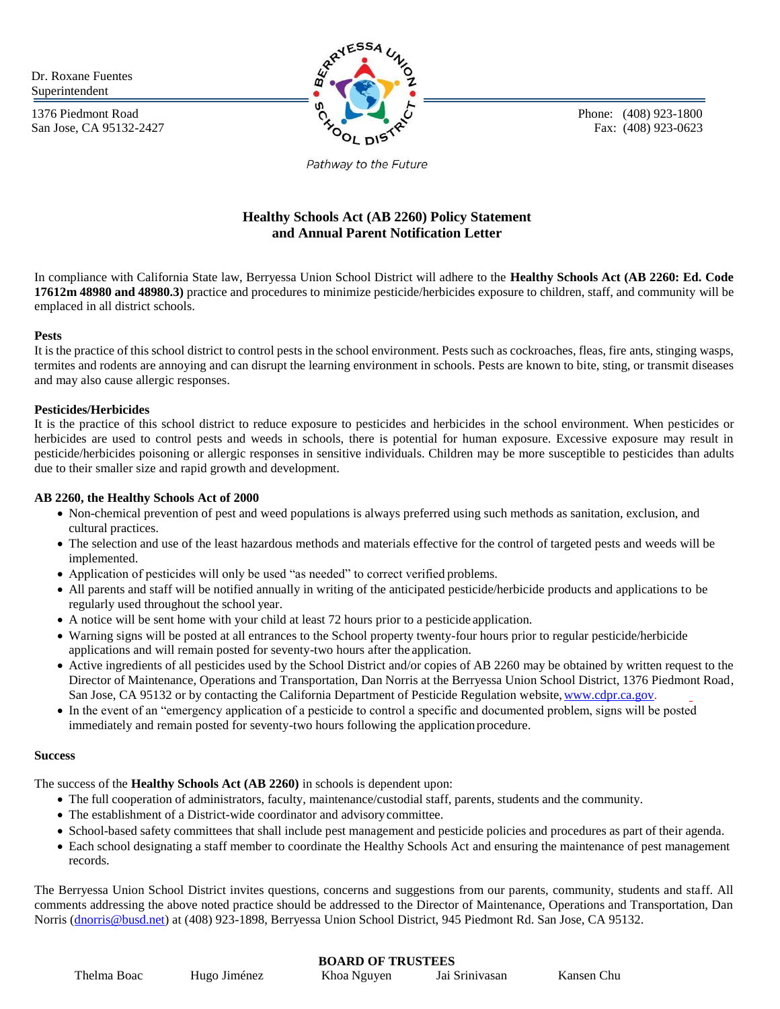Dr. Roxane Fuentes Superintendent

1376 Piedmont Road San Jose, CA 95132-2427



Phone: (408) 923-1800 Fax: (408) 923-0623

Pathway to the Future

# **Healthy Schools Act (AB 2260) Policy Statement and Annual Parent Notification Letter**

In compliance with California State law, Berryessa Union School District will adhere to the **Healthy Schools Act (AB 2260: Ed. Code 17612m 48980 and 48980.3)** practice and procedures to minimize pesticide/herbicides exposure to children, staff, and community will be emplaced in all district schools.

#### **Pests**

It is the practice of this school district to control pests in the school environment. Pests such as cockroaches, fleas, fire ants, stinging wasps, termites and rodents are annoying and can disrupt the learning environment in schools. Pests are known to bite, sting, or transmit diseases and may also cause allergic responses.

### **Pesticides/Herbicides**

It is the practice of this school district to reduce exposure to pesticides and herbicides in the school environment. When pesticides or herbicides are used to control pests and weeds in schools, there is potential for human exposure. Excessive exposure may result in pesticide/herbicides poisoning or allergic responses in sensitive individuals. Children may be more susceptible to pesticides than adults due to their smaller size and rapid growth and development.

#### **AB 2260, the Healthy Schools Act of 2000**

- Non-chemical prevention of pest and weed populations is always preferred using such methods as sanitation, exclusion, and cultural practices.
- The selection and use of the least hazardous methods and materials effective for the control of targeted pests and weeds will be implemented.
- Application of pesticides will only be used "as needed" to correct verified problems.
- All parents and staff will be notified annually in writing of the anticipated pesticide/herbicide products and applications to be regularly used throughout the school year.
- A notice will be sent home with your child at least 72 hours prior to a pesticide application.
- Warning signs will be posted at all entrances to the School property twenty-four hours prior to regular pesticide/herbicide applications and will remain posted for seventy-two hours after the application.
- Active ingredients of all pesticides used by the School District and/or copies of AB 2260 may be obtained by written request to the Director of Maintenance, Operations and Transportation, Dan Norris at the Berryessa Union School District, 1376 Piedmont Road, San Jose, CA 95132 or by contacting the California Department of Pesticide Regulation website, www.cdpr.ca.gov.
- In the event of an "emergency application of a pesticide to control a specific and documented problem, signs will be posted immediately and remain posted for seventy-two hours following the application procedure.

#### **Success**

The success of the **Healthy Schools Act (AB 2260)** in schools is dependent upon:

- The full cooperation of administrators, faculty, maintenance/custodial staff, parents, students and the community.
- The establishment of a District-wide coordinator and advisorycommittee.
- School-based safety committees that shall include pest management and pesticide policies and procedures as part of their agenda.
- Each school designating a staff member to coordinate the Healthy Schools Act and ensuring the maintenance of pest management records.

The Berryessa Union School District invites questions, concerns and suggestions from our parents, community, students and staff. All comments addressing the above noted practice should be addressed to the Director of Maintenance, Operations and Transportation, Dan Norris [\(dnorris@busd.net\)](mailto:dnorris@busd.net) at (408) 923-1898, Berryessa Union School District, 945 Piedmont Rd. San Jose, CA 95132.

# **BOARD OF TRUSTEES**

| Thelma Boac | Hugo Jiménez | Khoa Nguyen | Jai Srinivasan | Kansen Chu |
|-------------|--------------|-------------|----------------|------------|
|-------------|--------------|-------------|----------------|------------|